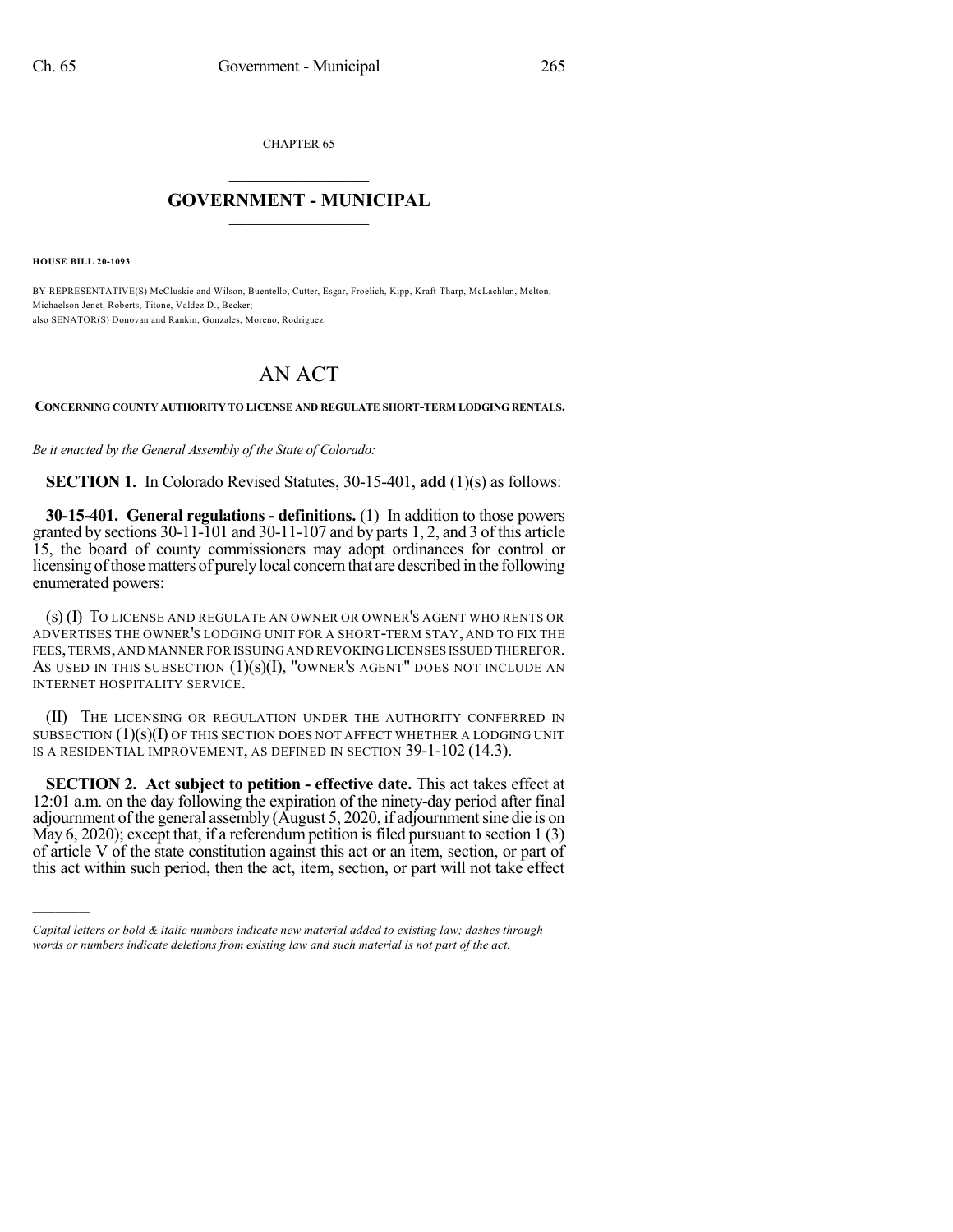CHAPTER 65

## $\mathcal{L}_\text{max}$  . The set of the set of the set of the set of the set of the set of the set of the set of the set of the set of the set of the set of the set of the set of the set of the set of the set of the set of the set **GOVERNMENT - MUNICIPAL**  $\_$   $\_$

**HOUSE BILL 20-1093**

)))))

BY REPRESENTATIVE(S) McCluskie and Wilson, Buentello, Cutter, Esgar, Froelich, Kipp, Kraft-Tharp, McLachlan, Melton, Michaelson Jenet, Roberts, Titone, Valdez D., Becker; also SENATOR(S) Donovan and Rankin, Gonzales, Moreno, Rodriguez.

## AN ACT

**CONCERNING COUNTY AUTHORITY TO LICENSE AND REGULATE SHORT-TERM LODGING RENTALS.**

*Be it enacted by the General Assembly of the State of Colorado:*

**SECTION 1.** In Colorado Revised Statutes, 30-15-401, **add** (1)(s) as follows:

**30-15-401. General regulations - definitions.** (1) In addition to those powers granted by sections 30-11-101 and 30-11-107 and by parts 1, 2, and 3 of this article 15, the board of county commissioners may adopt ordinances for control or licensing ofthosematters of purelylocal concern that are described in the following enumerated powers:

(s) (I) TO LICENSE AND REGULATE AN OWNER OR OWNER'S AGENT WHO RENTS OR ADVERTISES THE OWNER'S LODGING UNIT FOR A SHORT-TERM STAY, AND TO FIX THE FEES,TERMS,AND MANNER FOR ISSUING AND REVOKING LICENSES ISSUED THEREFOR. AS USED IN THIS SUBSECTION  $(1)(s)(I)$ , "OWNER'S AGENT" DOES NOT INCLUDE AN INTERNET HOSPITALITY SERVICE.

(II) THE LICENSING OR REGULATION UNDER THE AUTHORITY CONFERRED IN SUBSECTION  $(1)(s)(I)$  OF THIS SECTION DOES NOT AFFECT WHETHER A LODGING UNIT IS A RESIDENTIAL IMPROVEMENT, AS DEFINED IN SECTION 39-1-102 (14.3).

**SECTION 2. Act subject to petition - effective date.** This act takes effect at 12:01 a.m. on the day following the expiration of the ninety-day period after final adjournment of the general assembly (August 5, 2020, if adjournment sine die is on May 6, 2020); except that, if a referendum petition is filed pursuant to section  $1(3)$ of article V of the state constitution against this act or an item, section, or part of this act within such period, then the act, item, section, or part will not take effect

*Capital letters or bold & italic numbers indicate new material added to existing law; dashes through words or numbers indicate deletions from existing law and such material is not part of the act.*